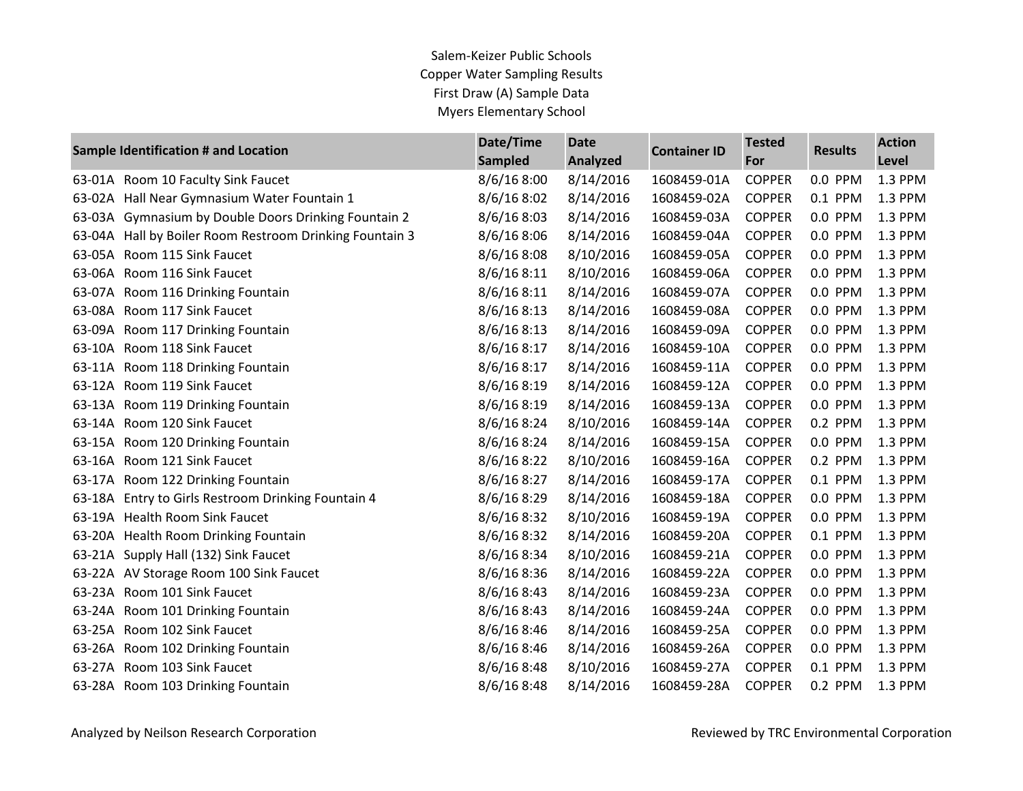# Salem-Keizer Public Schools Copper Water Sampling Results First Draw (A) Sample Data Myers Elementary School

|        | Sample Identification # and Location                    | Date/Time      | <b>Date</b> | <b>Container ID</b> | <b>Tested</b> | <b>Results</b> | <b>Action</b> |
|--------|---------------------------------------------------------|----------------|-------------|---------------------|---------------|----------------|---------------|
|        |                                                         | <b>Sampled</b> | Analyzed    |                     | For           |                | Level         |
|        | 63-01A Room 10 Faculty Sink Faucet                      | 8/6/168:00     | 8/14/2016   | 1608459-01A         | <b>COPPER</b> | 0.0 PPM        | 1.3 PPM       |
| 63-02A | Hall Near Gymnasium Water Fountain 1                    | 8/6/168:02     | 8/14/2016   | 1608459-02A         | <b>COPPER</b> | 0.1 PPM        | 1.3 PPM       |
| 63-03A | Gymnasium by Double Doors Drinking Fountain 2           | 8/6/168:03     | 8/14/2016   | 1608459-03A         | <b>COPPER</b> | 0.0 PPM        | 1.3 PPM       |
|        | 63-04A Hall by Boiler Room Restroom Drinking Fountain 3 | 8/6/168:06     | 8/14/2016   | 1608459-04A         | <b>COPPER</b> | 0.0 PPM        | 1.3 PPM       |
| 63-05A | Room 115 Sink Faucet                                    | 8/6/168:08     | 8/10/2016   | 1608459-05A         | <b>COPPER</b> | 0.0 PPM        | 1.3 PPM       |
| 63-06A | Room 116 Sink Faucet                                    | 8/6/168:11     | 8/10/2016   | 1608459-06A         | <b>COPPER</b> | 0.0 PPM        | 1.3 PPM       |
| 63-07A | Room 116 Drinking Fountain                              | 8/6/168:11     | 8/14/2016   | 1608459-07A         | <b>COPPER</b> | 0.0 PPM        | 1.3 PPM       |
| 63-08A | Room 117 Sink Faucet                                    | 8/6/168:13     | 8/14/2016   | 1608459-08A         | <b>COPPER</b> | 0.0 PPM        | 1.3 PPM       |
| 63-09A | Room 117 Drinking Fountain                              | 8/6/168:13     | 8/14/2016   | 1608459-09A         | <b>COPPER</b> | 0.0 PPM        | 1.3 PPM       |
| 63-10A | Room 118 Sink Faucet                                    | 8/6/168:17     | 8/14/2016   | 1608459-10A         | <b>COPPER</b> | 0.0 PPM        | 1.3 PPM       |
|        | 63-11A Room 118 Drinking Fountain                       | 8/6/168:17     | 8/14/2016   | 1608459-11A         | <b>COPPER</b> | 0.0 PPM        | 1.3 PPM       |
|        | 63-12A Room 119 Sink Faucet                             | 8/6/168:19     | 8/14/2016   | 1608459-12A         | <b>COPPER</b> | 0.0 PPM        | 1.3 PPM       |
|        | 63-13A Room 119 Drinking Fountain                       | 8/6/16 8:19    | 8/14/2016   | 1608459-13A         | <b>COPPER</b> | 0.0 PPM        | 1.3 PPM       |
|        | 63-14A Room 120 Sink Faucet                             | 8/6/16 8:24    | 8/10/2016   | 1608459-14A         | <b>COPPER</b> | 0.2 PPM        | 1.3 PPM       |
|        | 63-15A Room 120 Drinking Fountain                       | 8/6/168:24     | 8/14/2016   | 1608459-15A         | <b>COPPER</b> | 0.0 PPM        | 1.3 PPM       |
| 63-16A | Room 121 Sink Faucet                                    | 8/6/168:22     | 8/10/2016   | 1608459-16A         | <b>COPPER</b> | 0.2 PPM        | 1.3 PPM       |
|        | 63-17A Room 122 Drinking Fountain                       | 8/6/16 8:27    | 8/14/2016   | 1608459-17A         | <b>COPPER</b> | 0.1 PPM        | 1.3 PPM       |
|        | 63-18A Entry to Girls Restroom Drinking Fountain 4      | 8/6/16 8:29    | 8/14/2016   | 1608459-18A         | <b>COPPER</b> | 0.0 PPM        | 1.3 PPM       |
|        | 63-19A Health Room Sink Faucet                          | 8/6/168:32     | 8/10/2016   | 1608459-19A         | <b>COPPER</b> | 0.0 PPM        | 1.3 PPM       |
|        | 63-20A Health Room Drinking Fountain                    | 8/6/168:32     | 8/14/2016   | 1608459-20A         | <b>COPPER</b> | 0.1 PPM        | 1.3 PPM       |
|        | 63-21A Supply Hall (132) Sink Faucet                    | 8/6/16 8:34    | 8/10/2016   | 1608459-21A         | <b>COPPER</b> | 0.0 PPM        | 1.3 PPM       |
|        | 63-22A AV Storage Room 100 Sink Faucet                  | 8/6/168:36     | 8/14/2016   | 1608459-22A         | <b>COPPER</b> | 0.0 PPM        | 1.3 PPM       |
|        | 63-23A Room 101 Sink Faucet                             | 8/6/168:43     | 8/14/2016   | 1608459-23A         | <b>COPPER</b> | 0.0 PPM        | 1.3 PPM       |
| 63-24A | Room 101 Drinking Fountain                              | 8/6/168:43     | 8/14/2016   | 1608459-24A         | <b>COPPER</b> | 0.0 PPM        | 1.3 PPM       |
| 63-25A | Room 102 Sink Faucet                                    | 8/6/16 8:46    | 8/14/2016   | 1608459-25A         | <b>COPPER</b> | 0.0 PPM        | 1.3 PPM       |
|        | 63-26A Room 102 Drinking Fountain                       | 8/6/168:46     | 8/14/2016   | 1608459-26A         | <b>COPPER</b> | 0.0 PPM        | 1.3 PPM       |
|        | 63-27A Room 103 Sink Faucet                             | 8/6/168:38     | 8/10/2016   | 1608459-27A         | <b>COPPER</b> | 0.1 PPM        | 1.3 PPM       |
|        | 63-28A Room 103 Drinking Fountain                       | 8/6/16 8:48    | 8/14/2016   | 1608459-28A         | <b>COPPER</b> | 0.2 PPM        | 1.3 PPM       |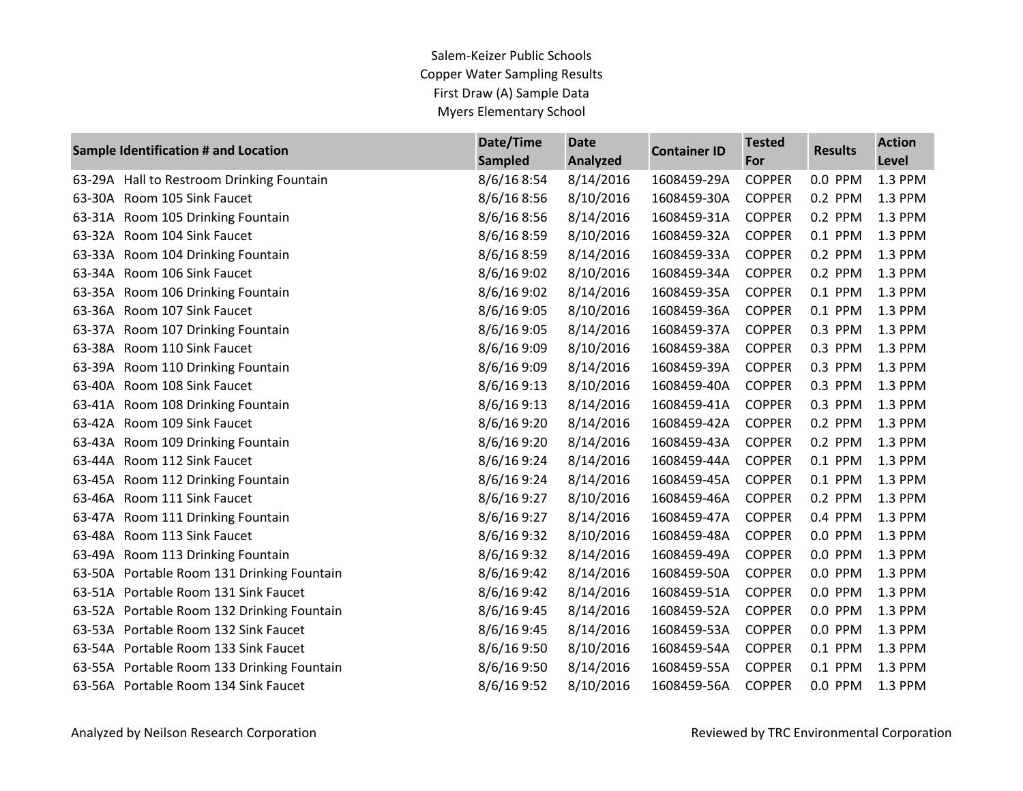# Salem-Keizer Public Schools Copper Water Sampling Results First Draw (A) Sample Data Myers Elementary School

|        |                                            | Date/Time      | <b>Date</b>     | <b>Container ID</b> | <b>Tested</b> | <b>Results</b> | <b>Action</b> |
|--------|--------------------------------------------|----------------|-----------------|---------------------|---------------|----------------|---------------|
|        | Sample Identification # and Location       | <b>Sampled</b> | <b>Analyzed</b> |                     | For           |                | Level         |
|        | 63-29A Hall to Restroom Drinking Fountain  | 8/6/168:54     | 8/14/2016       | 1608459-29A         | <b>COPPER</b> | 0.0 PPM        | 1.3 PPM       |
|        | 63-30A Room 105 Sink Faucet                | 8/6/168:56     | 8/10/2016       | 1608459-30A         | <b>COPPER</b> | 0.2 PPM        | 1.3 PPM       |
|        | 63-31A Room 105 Drinking Fountain          | 8/6/168:56     | 8/14/2016       | 1608459-31A         | <b>COPPER</b> | 0.2 PPM        | 1.3 PPM       |
| 63-32A | Room 104 Sink Faucet                       | 8/6/168:59     | 8/10/2016       | 1608459-32A         | <b>COPPER</b> | 0.1 PPM        | 1.3 PPM       |
|        | 63-33A Room 104 Drinking Fountain          | 8/6/16 8:59    | 8/14/2016       | 1608459-33A         | <b>COPPER</b> | 0.2 PPM        | 1.3 PPM       |
|        | 63-34A Room 106 Sink Faucet                | 8/6/169:02     | 8/10/2016       | 1608459-34A         | <b>COPPER</b> | 0.2 PPM        | 1.3 PPM       |
|        | 63-35A Room 106 Drinking Fountain          | 8/6/169:02     | 8/14/2016       | 1608459-35A         | <b>COPPER</b> | 0.1 PPM        | 1.3 PPM       |
| 63-36A | Room 107 Sink Faucet                       | 8/6/16 9:05    | 8/10/2016       | 1608459-36A         | <b>COPPER</b> | 0.1 PPM        | 1.3 PPM       |
|        | 63-37A Room 107 Drinking Fountain          | 8/6/16 9:05    | 8/14/2016       | 1608459-37A         | <b>COPPER</b> | 0.3 PPM        | 1.3 PPM       |
|        | 63-38A Room 110 Sink Faucet                | 8/6/16 9:09    | 8/10/2016       | 1608459-38A         | <b>COPPER</b> | 0.3 PPM        | 1.3 PPM       |
|        | 63-39A Room 110 Drinking Fountain          | 8/6/16 9:09    | 8/14/2016       | 1608459-39A         | <b>COPPER</b> | 0.3 PPM        | 1.3 PPM       |
| 63-40A | Room 108 Sink Faucet                       | 8/6/169:13     | 8/10/2016       | 1608459-40A         | <b>COPPER</b> | 0.3 PPM        | 1.3 PPM       |
| 63-41A | Room 108 Drinking Fountain                 | 8/6/169:13     | 8/14/2016       | 1608459-41A         | <b>COPPER</b> | 0.3 PPM        | 1.3 PPM       |
|        | 63-42A Room 109 Sink Faucet                | 8/6/169:20     | 8/14/2016       | 1608459-42A         | <b>COPPER</b> | 0.2 PPM        | 1.3 PPM       |
| 63-43A | Room 109 Drinking Fountain                 | 8/6/169:20     | 8/14/2016       | 1608459-43A         | <b>COPPER</b> | 0.2 PPM        | 1.3 PPM       |
| 63-44A | Room 112 Sink Faucet                       | 8/6/16 9:24    | 8/14/2016       | 1608459-44A         | <b>COPPER</b> | 0.1 PPM        | 1.3 PPM       |
|        | 63-45A Room 112 Drinking Fountain          | 8/6/16 9:24    | 8/14/2016       | 1608459-45A         | <b>COPPER</b> | 0.1 PPM        | 1.3 PPM       |
|        | 63-46A Room 111 Sink Faucet                | 8/6/169:27     | 8/10/2016       | 1608459-46A         | <b>COPPER</b> | 0.2 PPM        | 1.3 PPM       |
| 63-47A | Room 111 Drinking Fountain                 | 8/6/16 9:27    | 8/14/2016       | 1608459-47A         | <b>COPPER</b> | 0.4 PPM        | 1.3 PPM       |
| 63-48A | Room 113 Sink Faucet                       | 8/6/169:32     | 8/10/2016       | 1608459-48A         | <b>COPPER</b> | 0.0 PPM        | 1.3 PPM       |
| 63-49A | Room 113 Drinking Fountain                 | 8/6/169:32     | 8/14/2016       | 1608459-49A         | <b>COPPER</b> | 0.0 PPM        | 1.3 PPM       |
| 63-50A | Portable Room 131 Drinking Fountain        | 8/6/16 9:42    | 8/14/2016       | 1608459-50A         | <b>COPPER</b> | 0.0 PPM        | 1.3 PPM       |
|        | 63-51A Portable Room 131 Sink Faucet       | 8/6/16 9:42    | 8/14/2016       | 1608459-51A         | <b>COPPER</b> | 0.0 PPM        | 1.3 PPM       |
| 63-52A | Portable Room 132 Drinking Fountain        | 8/6/16 9:45    | 8/14/2016       | 1608459-52A         | <b>COPPER</b> | 0.0 PPM        | 1.3 PPM       |
|        | 63-53A Portable Room 132 Sink Faucet       | 8/6/16 9:45    | 8/14/2016       | 1608459-53A         | <b>COPPER</b> | 0.0 PPM        | 1.3 PPM       |
| 63-54A | Portable Room 133 Sink Faucet              | 8/6/169:50     | 8/10/2016       | 1608459-54A         | <b>COPPER</b> | 0.1 PPM        | 1.3 PPM       |
|        | 63-55A Portable Room 133 Drinking Fountain | 8/6/169:50     | 8/14/2016       | 1608459-55A         | <b>COPPER</b> | 0.1 PPM        | 1.3 PPM       |
|        | 63-56A Portable Room 134 Sink Faucet       | 8/6/16 9:52    | 8/10/2016       | 1608459-56A         | <b>COPPER</b> | 0.0 PPM        | 1.3 PPM       |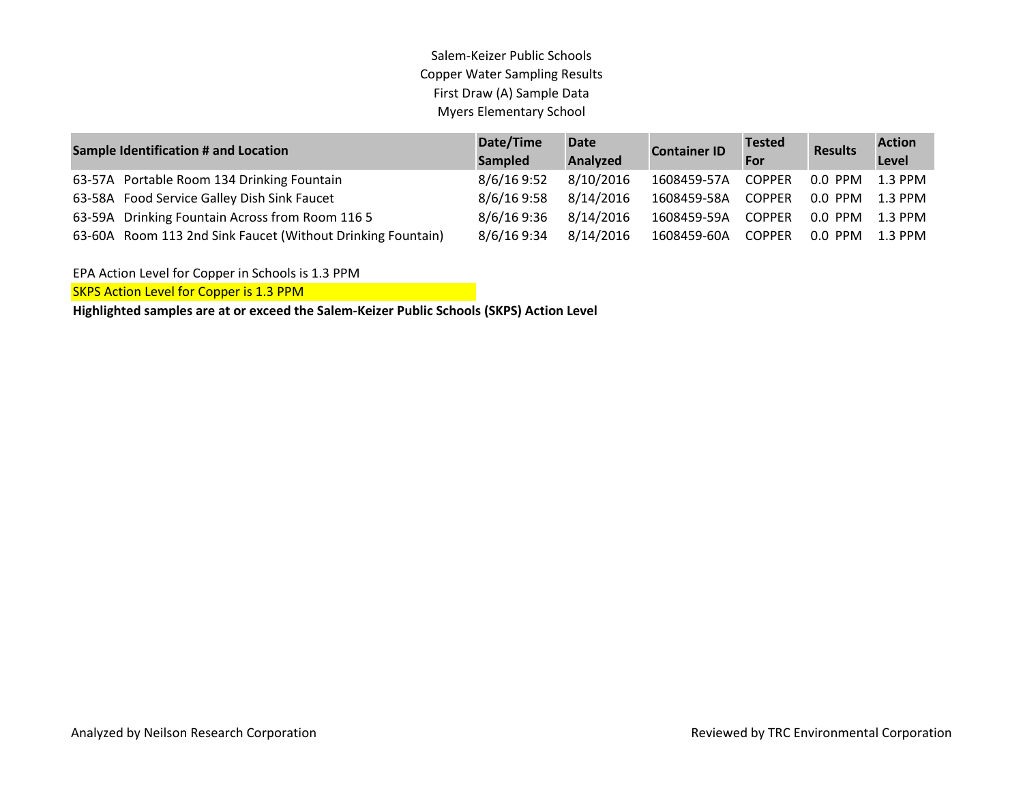# Salem-Keizer Public Schools Copper Water Sampling Results First Draw (A) Sample Data Myers Elementary School

| <b>Sample Identification # and Location</b>                 | Date/Time      | <b>Date</b> | <b>Container ID</b> | <b>Tested</b> | <b>Results</b> | <b>Action</b> |
|-------------------------------------------------------------|----------------|-------------|---------------------|---------------|----------------|---------------|
|                                                             | <b>Sampled</b> | Analyzed    |                     | For           |                | Level         |
| 63-57A Portable Room 134 Drinking Fountain                  | 8/6/16 9:52    | 8/10/2016   | 1608459-57A COPPER  |               | $0.0$ PPM      | $1.3$ PPM     |
| 63-58A Food Service Galley Dish Sink Faucet                 | 8/6/16 9:58    | 8/14/2016   | 1608459-58A         | COPPER        | $0.0$ PPM      | $1.3$ PPM     |
| 63-59A Drinking Fountain Across from Room 116 5             | 8/6/16 9:36    | 8/14/2016   | 1608459-59A         | <b>COPPER</b> | $0.0$ PPM      | $1.3$ PPM     |
| 63-60A Room 113 2nd Sink Faucet (Without Drinking Fountain) | 8/6/16 9:34    | 8/14/2016   | 1608459-60A         | <b>COPPER</b> | $0.0$ PPM      | $1.3$ PPM     |

EPA Action Level for Copper in Schools is 1.3 PPM

SKPS Action Level for Copper is 1.3 PPM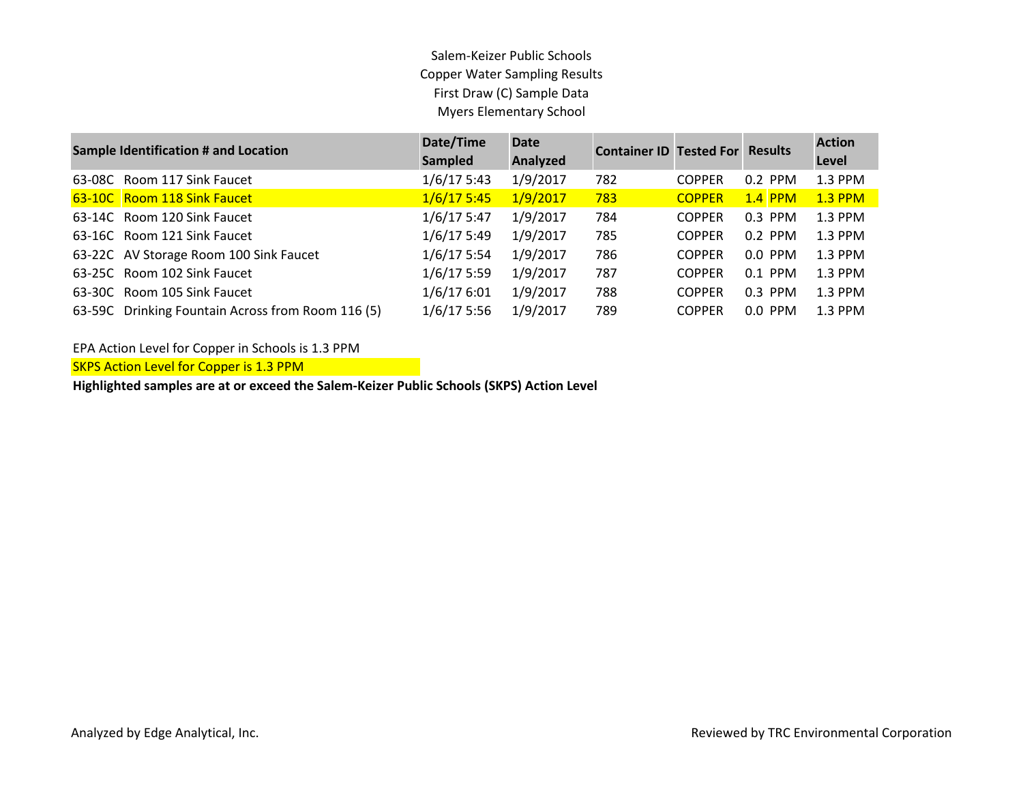# Salem-Keizer Public Schools Copper Water Sampling Results First Draw (C) Sample Data Myers Elementary School

| <b>Sample Identification # and Location</b>       | Date/Time<br><b>Sampled</b> | <b>Date</b><br>Analyzed | <b>Container ID Tested For</b> |               | <b>Results</b> | <b>Action</b><br>Level |
|---------------------------------------------------|-----------------------------|-------------------------|--------------------------------|---------------|----------------|------------------------|
| 63-08C Room 117 Sink Faucet                       | 1/6/175:43                  | 1/9/2017                | 782                            | <b>COPPER</b> | $0.2$ PPM      | 1.3 PPM                |
| 63-10C Room 118 Sink Faucet                       | 1/6/175:45                  | 1/9/2017                | 783                            | <b>COPPER</b> | $1.4$ PPM      | $1.3$ PPM              |
| 63-14C Room 120 Sink Faucet                       | 1/6/175:47                  | 1/9/2017                | 784                            | <b>COPPER</b> | $0.3$ PPM      | $1.3$ PPM              |
| 63-16C Room 121 Sink Faucet                       | $1/6/17$ 5:49               | 1/9/2017                | 785                            | <b>COPPER</b> | $0.2$ PPM      | $1.3$ PPM              |
| 63-22C AV Storage Room 100 Sink Faucet            | $1/6/17$ 5:54               | 1/9/2017                | 786                            | <b>COPPER</b> | $0.0$ PPM      | $1.3$ PPM              |
| 63-25C Room 102 Sink Faucet                       | $1/6/17$ 5:59               | 1/9/2017                | 787                            | <b>COPPER</b> | $0.1$ PPM      | $1.3$ PPM              |
| 63-30C Room 105 Sink Faucet                       | 1/6/176:01                  | 1/9/2017                | 788                            | <b>COPPER</b> | $0.3$ PPM      | $1.3$ PPM              |
| 63-59C Drinking Fountain Across from Room 116 (5) | $1/6/17$ 5:56               | 1/9/2017                | 789                            | <b>COPPER</b> | $0.0$ PPM      | $1.3$ PPM              |

## EPA Action Level for Copper in Schools is 1.3 PPM

**SKPS Action Level for Copper is 1.3 PPM**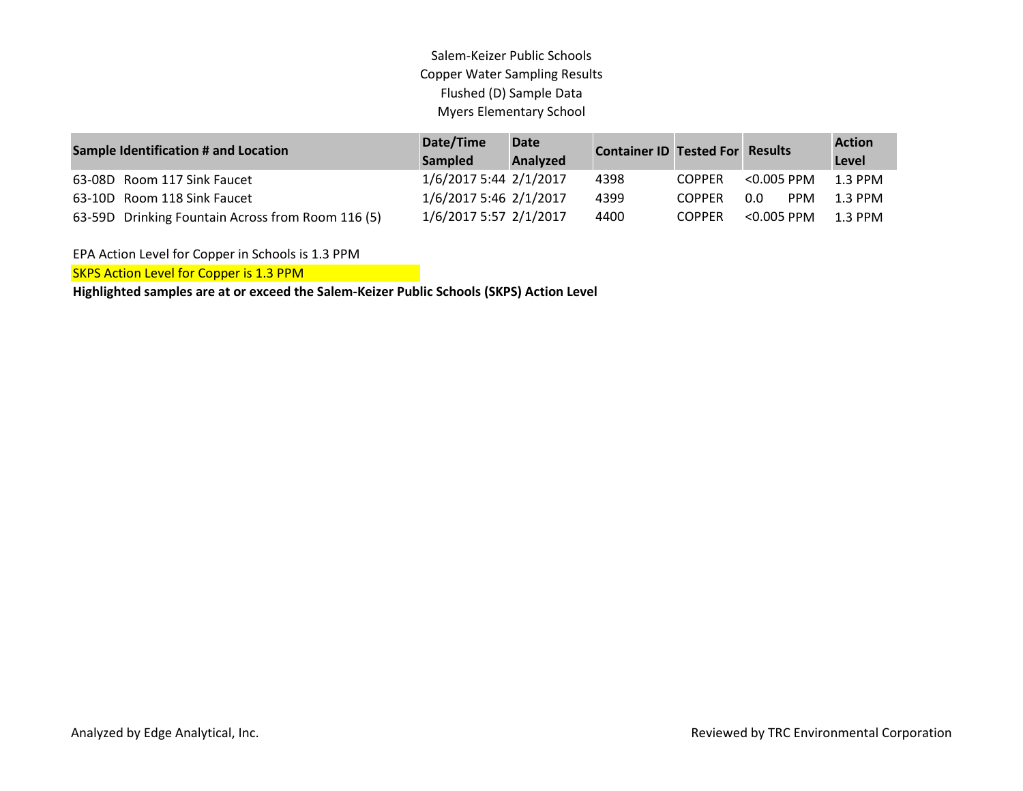# Salem-Keizer Public Schools Copper Water Sampling Results Flushed (D) Sample Data Myers Elementary School

| <b>Sample Identification # and Location</b>       | Date/Time<br>Sampled   | <b>Date</b><br>Analyzed | <b>Container ID Tested For Results</b> |               |                   | <b>Action</b><br>Level |
|---------------------------------------------------|------------------------|-------------------------|----------------------------------------|---------------|-------------------|------------------------|
| 63-08D Room 117 Sink Faucet                       | 1/6/2017 5:44 2/1/2017 |                         | 4398                                   | <b>COPPER</b> | <0.005 PPM        | 1.3 PPM                |
| 63-10D Room 118 Sink Faucet                       | 1/6/2017 5:46 2/1/2017 |                         | 4399                                   | <b>COPPER</b> | 0.0<br><b>PPM</b> | $1.3$ PPM              |
| 63-59D Drinking Fountain Across from Room 116 (5) | 1/6/2017 5:57 2/1/2017 |                         | 4400                                   | <b>COPPER</b> | $<$ 0.005 PPM     | 1.3 PPM                |

EPA Action Level for Copper in Schools is 1.3 PPM

**SKPS Action Level for Copper is 1.3 PPM**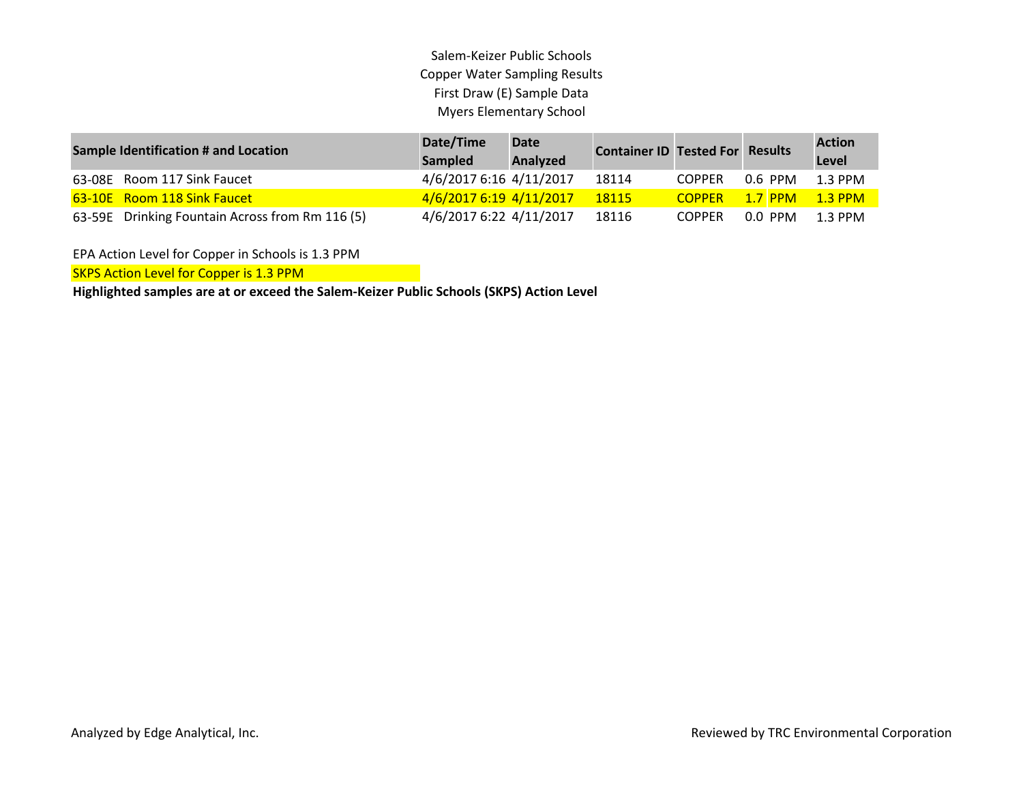Salem-Keizer Public Schools Copper Water Sampling Results First Draw (E) Sample Data Myers Elementary School

|        | <b>Sample Identification # and Location</b> | Date/Time<br><b>Sampled</b> | <b>Date</b><br>Analyzed | <b>Container ID Tested For Results</b> |               |            | <b>Action</b><br>Level |
|--------|---------------------------------------------|-----------------------------|-------------------------|----------------------------------------|---------------|------------|------------------------|
|        | 63-08E Room 117 Sink Faucet                 | 4/6/2017 6:16 4/11/2017     |                         | 18114                                  | <b>COPPER</b> | 0.6 PPM    | $1.3$ PPM              |
|        | 63-10E Room 118 Sink Faucet                 | 4/6/2017 6:19 4/11/2017     |                         | 18115                                  | <b>COPPER</b> | $-1.7$ PPM | $-1.3$ PPM             |
| 63-59E | Drinking Fountain Across from Rm 116 (5)    | 4/6/2017 6:22 4/11/2017     |                         | 18116                                  | <b>COPPER</b> | $0.0$ PPM  | 1.3 PPM                |

EPA Action Level for Copper in Schools is 1.3 PPM

**SKPS Action Level for Copper is 1.3 PPM**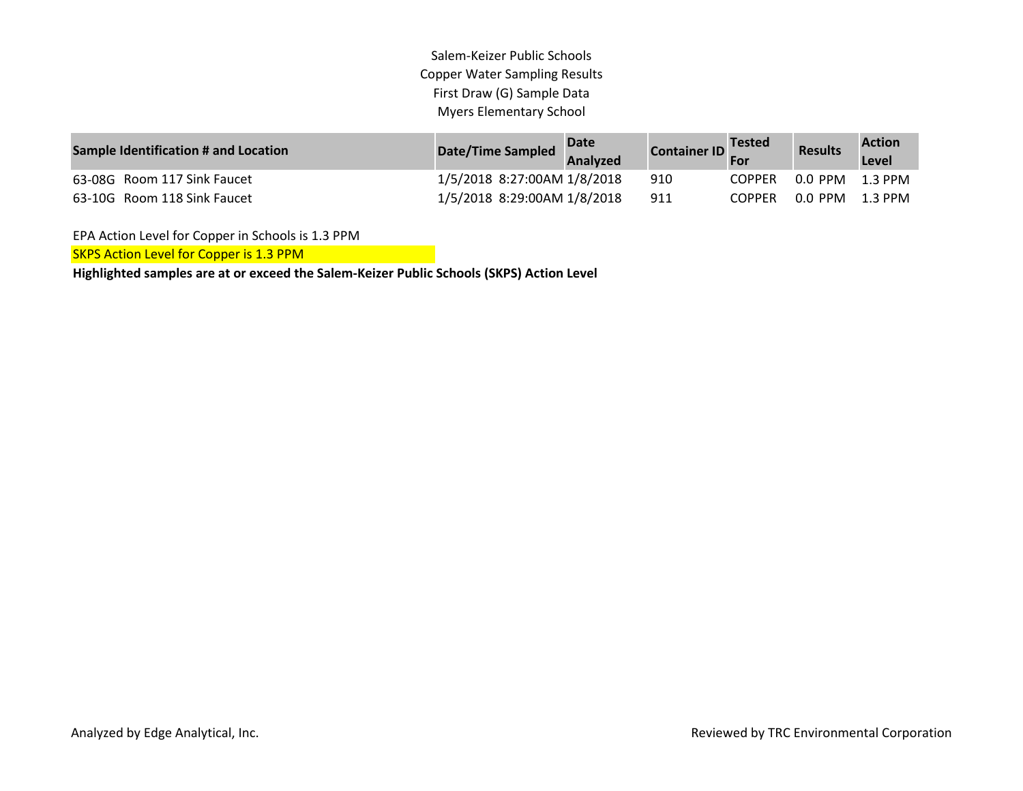Salem-Keizer Public Schools Copper Water Sampling Results First Draw (G) Sample Data Myers Elementary School

| Sample Identification # and Location | <b>Date/Time Sampled</b>    | <b>Date</b><br><b>Analyzed</b> | Container ID | <b>Tested</b><br><b>For</b> | <b>Results</b> | <b>Action</b><br>Level |
|--------------------------------------|-----------------------------|--------------------------------|--------------|-----------------------------|----------------|------------------------|
| 63-08G Room 117 Sink Faucet          | 1/5/2018 8:27:00AM 1/8/2018 |                                | 910          | <b>COPPER</b>               | 0.0 PPM        | 1.3 PPM                |
| 63-10G Room 118 Sink Faucet          | 1/5/2018 8:29:00AM 1/8/2018 |                                | 911          | <b>COPPER</b>               | 0.0 PPM        | 1.3 PPM                |

EPA Action Level for Copper in Schools is 1.3 PPM

SKPS Action Level for Copper is 1.3 PPM